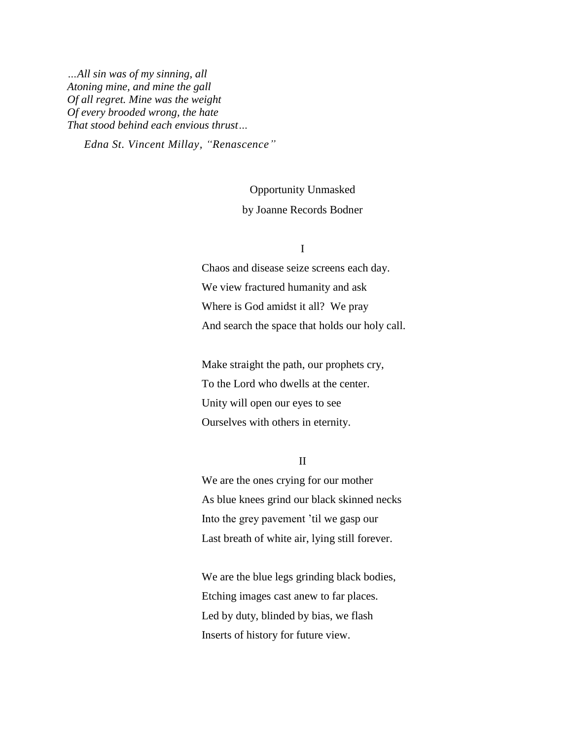*…All sin was of my sinning, all Atoning mine, and mine the gall Of all regret. Mine was the weight Of every brooded wrong, the hate That stood behind each envious thrust…*

*Edna St. Vincent Millay, "Renascence"*

## Opportunity Unmasked by Joanne Records Bodner

## I

Chaos and disease seize screens each day. We view fractured humanity and ask Where is God amidst it all? We pray And search the space that holds our holy call.

Make straight the path, our prophets cry, To the Lord who dwells at the center. Unity will open our eyes to see Ourselves with others in eternity.

II

We are the ones crying for our mother As blue knees grind our black skinned necks Into the grey pavement 'til we gasp our Last breath of white air, lying still forever.

We are the blue legs grinding black bodies, Etching images cast anew to far places. Led by duty, blinded by bias, we flash Inserts of history for future view.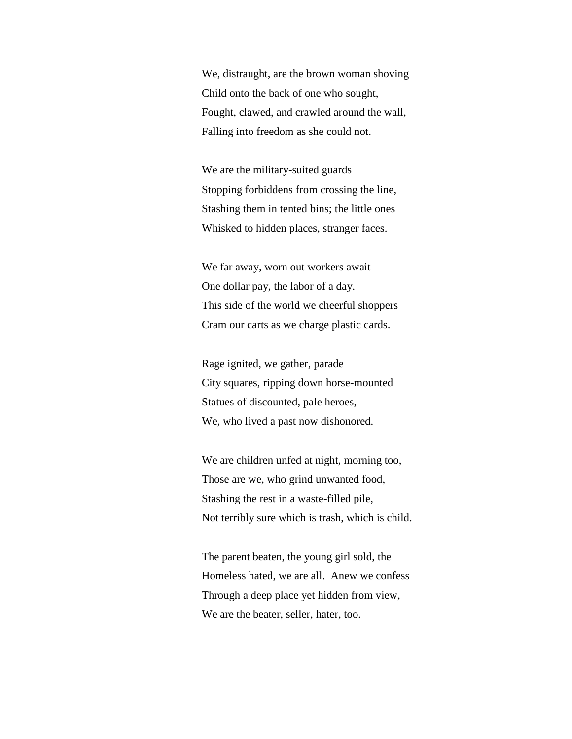We, distraught, are the brown woman shoving Child onto the back of one who sought, Fought, clawed, and crawled around the wall, Falling into freedom as she could not.

We are the military-suited guards Stopping forbiddens from crossing the line, Stashing them in tented bins; the little ones Whisked to hidden places, stranger faces.

We far away, worn out workers await One dollar pay, the labor of a day. This side of the world we cheerful shoppers Cram our carts as we charge plastic cards.

Rage ignited, we gather, parade City squares, ripping down horse-mounted Statues of discounted, pale heroes, We, who lived a past now dishonored.

We are children unfed at night, morning too, Those are we, who grind unwanted food, Stashing the rest in a waste-filled pile, Not terribly sure which is trash, which is child.

The parent beaten, the young girl sold, the Homeless hated, we are all. Anew we confess Through a deep place yet hidden from view, We are the beater, seller, hater, too.